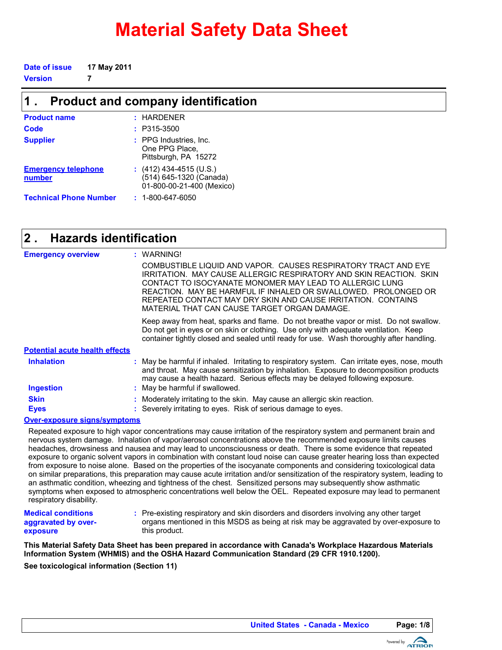# **Material Safety Data Sheet**

**Date of issue 17 May 2011**

**Version 7**

| $\mathbf 1$ .                               | <b>Product and company identification</b>                                       |
|---------------------------------------------|---------------------------------------------------------------------------------|
| <b>Product name</b>                         | $:$ HARDENER                                                                    |
| Code                                        | $: P315-3500$                                                                   |
| <b>Supplier</b>                             | : PPG Industries, Inc.<br>One PPG Place,<br>Pittsburgh, PA 15272                |
| <b>Emergency telephone</b><br><b>number</b> | $(412)$ 434-4515 (U.S.)<br>(514) 645-1320 (Canada)<br>01-800-00-21-400 (Mexico) |
| <b>Technical Phone Number</b>               | $: 1 - 800 - 647 - 6050$                                                        |

#### **Hazards identification 2 .**

| <b>Emergency overview</b>             | : WARNING!                                                                                                                                                                                                                                                                                                                                                                         |
|---------------------------------------|------------------------------------------------------------------------------------------------------------------------------------------------------------------------------------------------------------------------------------------------------------------------------------------------------------------------------------------------------------------------------------|
|                                       | COMBUSTIBLE LIQUID AND VAPOR. CAUSES RESPIRATORY TRACT AND EYE<br>IRRITATION. MAY CAUSE ALLERGIC RESPIRATORY AND SKIN REACTION. SKIN<br>CONTACT TO ISOCYANATE MONOMER MAY LEAD TO ALLERGIC LUNG.<br>REACTION. MAY BE HARMFUL IF INHALED OR SWALLOWED. PROLONGED OR<br>REPEATED CONTACT MAY DRY SKIN AND CAUSE IRRITATION. CONTAINS<br>MATERIAL THAT CAN CAUSE TARGET ORGAN DAMAGE. |
|                                       | Keep away from heat, sparks and flame. Do not breathe vapor or mist. Do not swallow.<br>Do not get in eyes or on skin or clothing. Use only with adequate ventilation. Keep<br>container tightly closed and sealed until ready for use. Wash thoroughly after handling.                                                                                                            |
| <b>Potential acute health effects</b> |                                                                                                                                                                                                                                                                                                                                                                                    |
| <b>Inhalation</b>                     | May be harmful if inhaled. Irritating to respiratory system. Can irritate eyes, nose, mouth<br>and throat. May cause sensitization by inhalation. Exposure to decomposition products<br>may cause a health hazard. Serious effects may be delayed following exposure.                                                                                                              |
| <b>Ingestion</b>                      | : May be harmful if swallowed.                                                                                                                                                                                                                                                                                                                                                     |
| <b>Skin</b><br><b>Eyes</b>            | Moderately irritating to the skin. May cause an allergic skin reaction.<br>: Severely irritating to eyes. Risk of serious damage to eyes.                                                                                                                                                                                                                                          |
| <b>Over-exposure signs/symptoms</b>   |                                                                                                                                                                                                                                                                                                                                                                                    |

Repeated exposure to high vapor concentrations may cause irritation of the respiratory system and permanent brain and nervous system damage. Inhalation of vapor/aerosol concentrations above the recommended exposure limits causes headaches, drowsiness and nausea and may lead to unconsciousness or death. There is some evidence that repeated exposure to organic solvent vapors in combination with constant loud noise can cause greater hearing loss than expected from exposure to noise alone. Based on the properties of the isocyanate components and considering toxicological data on similar preparations, this preparation may cause acute irritation and/or sensitization of the respiratory system, leading to an asthmatic condition, wheezing and tightness of the chest. Sensitized persons may subsequently show asthmatic symptoms when exposed to atmospheric concentrations well below the OEL. Repeated exposure may lead to permanent respiratory disability.

**Medical conditions aggravated by overexposure**

Pre-existing respiratory and skin disorders and disorders involving any other target **:** organs mentioned in this MSDS as being at risk may be aggravated by over-exposure to this product.

**See toxicological information (Section 11) This Material Safety Data Sheet has been prepared in accordance with Canada's Workplace Hazardous Materials Information System (WHMIS) and the OSHA Hazard Communication Standard (29 CFR 1910.1200).**

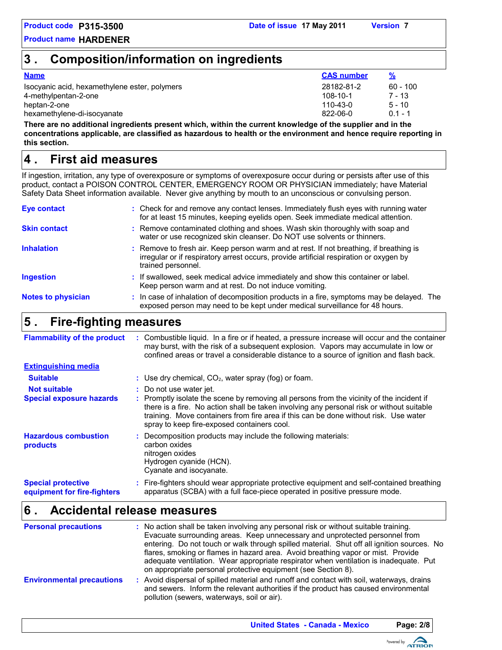## **3 . Composition/information on ingredients**

| <b>Name</b>                                   | <b>CAS number</b> |            |
|-----------------------------------------------|-------------------|------------|
| Isocyanic acid, hexamethylene ester, polymers | 28182-81-2        | $60 - 100$ |
| 4-methylpentan-2-one                          | 108-10-1          | 7 - 13     |
| heptan-2-one                                  | 110-43-0          | $5 - 10$   |
| hexamethylene-di-isocyanate                   | 822-06-0          | $01 - 1$   |

**There are no additional ingredients present which, within the current knowledge of the supplier and in the concentrations applicable, are classified as hazardous to health or the environment and hence require reporting in this section.**

## **First aid measures 4 .**

If ingestion, irritation, any type of overexposure or symptoms of overexposure occur during or persists after use of this product, contact a POISON CONTROL CENTER, EMERGENCY ROOM OR PHYSICIAN immediately; have Material Safety Data Sheet information available. Never give anything by mouth to an unconscious or convulsing person.

| : Check for and remove any contact lenses. Immediately flush eyes with running water<br>for at least 15 minutes, keeping eyelids open. Seek immediate medical attention.                               |
|--------------------------------------------------------------------------------------------------------------------------------------------------------------------------------------------------------|
| : Remove contaminated clothing and shoes. Wash skin thoroughly with soap and<br>water or use recognized skin cleanser. Do NOT use solvents or thinners.                                                |
| : Remove to fresh air. Keep person warm and at rest. If not breathing, if breathing is<br>irregular or if respiratory arrest occurs, provide artificial respiration or oxygen by<br>trained personnel. |
| : If swallowed, seek medical advice immediately and show this container or label.<br>Keep person warm and at rest. Do not induce vomiting.                                                             |
| : In case of inhalation of decomposition products in a fire, symptoms may be delayed. The<br>exposed person may need to be kept under medical surveillance for 48 hours.                               |
|                                                                                                                                                                                                        |

### **Fire-fighting measures 5 .**

| <b>Flammability of the product</b>                       | Combustible liquid. In a fire or if heated, a pressure increase will occur and the container<br>may burst, with the risk of a subsequent explosion. Vapors may accumulate in low or<br>confined areas or travel a considerable distance to a source of ignition and flash back.                                               |
|----------------------------------------------------------|-------------------------------------------------------------------------------------------------------------------------------------------------------------------------------------------------------------------------------------------------------------------------------------------------------------------------------|
| <b>Extinguishing media</b>                               |                                                                                                                                                                                                                                                                                                                               |
| <b>Suitable</b>                                          | : Use dry chemical, $CO2$ , water spray (fog) or foam.                                                                                                                                                                                                                                                                        |
| <b>Not suitable</b>                                      | : Do not use water jet.                                                                                                                                                                                                                                                                                                       |
| <b>Special exposure hazards</b>                          | : Promptly isolate the scene by removing all persons from the vicinity of the incident if<br>there is a fire. No action shall be taken involving any personal risk or without suitable<br>training. Move containers from fire area if this can be done without risk. Use water<br>spray to keep fire-exposed containers cool. |
| <b>Hazardous combustion</b><br>products                  | Decomposition products may include the following materials:<br>carbon oxides<br>nitrogen oxides<br>Hydrogen cyanide (HCN).<br>Cyanate and isocyanate.                                                                                                                                                                         |
| <b>Special protective</b><br>equipment for fire-fighters | : Fire-fighters should wear appropriate protective equipment and self-contained breathing<br>apparatus (SCBA) with a full face-piece operated in positive pressure mode.                                                                                                                                                      |

## **Accidental release measures 6 .**

| <b>Personal precautions</b>      | : No action shall be taken involving any personal risk or without suitable training.<br>Evacuate surrounding areas. Keep unnecessary and unprotected personnel from<br>entering. Do not touch or walk through spilled material. Shut off all ignition sources. No<br>flares, smoking or flames in hazard area. Avoid breathing vapor or mist. Provide<br>adequate ventilation. Wear appropriate respirator when ventilation is inadequate. Put<br>on appropriate personal protective equipment (see Section 8). |
|----------------------------------|-----------------------------------------------------------------------------------------------------------------------------------------------------------------------------------------------------------------------------------------------------------------------------------------------------------------------------------------------------------------------------------------------------------------------------------------------------------------------------------------------------------------|
| <b>Environmental precautions</b> | : Avoid dispersal of spilled material and runoff and contact with soil, waterways, drains<br>and sewers. Inform the relevant authorities if the product has caused environmental<br>pollution (sewers, waterways, soil or air).                                                                                                                                                                                                                                                                                 |

**United States - Canada - Mexico Page: 2/8**

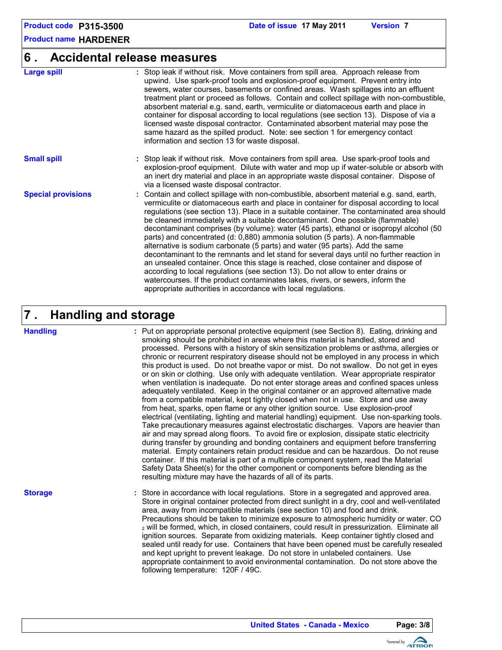#### **6 . Accidental release measures**

| <b>Large spill</b>        | : Stop leak if without risk. Move containers from spill area. Approach release from<br>upwind. Use spark-proof tools and explosion-proof equipment. Prevent entry into<br>sewers, water courses, basements or confined areas. Wash spillages into an effluent<br>treatment plant or proceed as follows. Contain and collect spillage with non-combustible,<br>absorbent material e.g. sand, earth, vermiculite or diatomaceous earth and place in<br>container for disposal according to local regulations (see section 13). Dispose of via a<br>licensed waste disposal contractor. Contaminated absorbent material may pose the<br>same hazard as the spilled product. Note: see section 1 for emergency contact<br>information and section 13 for waste disposal.                                                                                                                                                                                                                                                                                       |
|---------------------------|------------------------------------------------------------------------------------------------------------------------------------------------------------------------------------------------------------------------------------------------------------------------------------------------------------------------------------------------------------------------------------------------------------------------------------------------------------------------------------------------------------------------------------------------------------------------------------------------------------------------------------------------------------------------------------------------------------------------------------------------------------------------------------------------------------------------------------------------------------------------------------------------------------------------------------------------------------------------------------------------------------------------------------------------------------|
| <b>Small spill</b>        | : Stop leak if without risk. Move containers from spill area. Use spark-proof tools and<br>explosion-proof equipment. Dilute with water and mop up if water-soluble or absorb with<br>an inert dry material and place in an appropriate waste disposal container. Dispose of<br>via a licensed waste disposal contractor.                                                                                                                                                                                                                                                                                                                                                                                                                                                                                                                                                                                                                                                                                                                                  |
| <b>Special provisions</b> | : Contain and collect spillage with non-combustible, absorbent material e.g. sand, earth,<br>vermiculite or diatomaceous earth and place in container for disposal according to local<br>regulations (see section 13). Place in a suitable container. The contaminated area should<br>be cleaned immediately with a suitable decontaminant. One possible (flammable)<br>decontaminant comprises (by volume): water (45 parts), ethanol or isopropyl alcohol (50<br>parts) and concentrated (d: 0,880) ammonia solution (5 parts). A non-flammable<br>alternative is sodium carbonate (5 parts) and water (95 parts). Add the same<br>decontaminant to the remnants and let stand for several days until no further reaction in<br>an unsealed container. Once this stage is reached, close container and dispose of<br>according to local regulations (see section 13). Do not allow to enter drains or<br>watercourses. If the product contaminates lakes, rivers, or sewers, inform the<br>appropriate authorities in accordance with local regulations. |

#### **Handling and storage 7 .**

#### **Handling**

Put on appropriate personal protective equipment (see Section 8). Eating, drinking and **:** smoking should be prohibited in areas where this material is handled, stored and processed. Persons with a history of skin sensitization problems or asthma, allergies or chronic or recurrent respiratory disease should not be employed in any process in which this product is used. Do not breathe vapor or mist. Do not swallow. Do not get in eyes or on skin or clothing. Use only with adequate ventilation. Wear appropriate respirator when ventilation is inadequate. Do not enter storage areas and confined spaces unless adequately ventilated. Keep in the original container or an approved alternative made from a compatible material, kept tightly closed when not in use. Store and use away from heat, sparks, open flame or any other ignition source. Use explosion-proof electrical (ventilating, lighting and material handling) equipment. Use non-sparking tools. Take precautionary measures against electrostatic discharges. Vapors are heavier than air and may spread along floors. To avoid fire or explosion, dissipate static electricity during transfer by grounding and bonding containers and equipment before transferring material. Empty containers retain product residue and can be hazardous. Do not reuse container. If this material is part of a multiple component system, read the Material Safety Data Sheet(s) for the other component or components before blending as the resulting mixture may have the hazards of all of its parts.

#### **Storage**

Store in accordance with local regulations. Store in a segregated and approved area. **:** Store in original container protected from direct sunlight in a dry, cool and well-ventilated area, away from incompatible materials (see section 10) and food and drink. Precautions should be taken to minimize exposure to atmospheric humidity or water. CO <sup>2</sup> will be formed, which, in closed containers, could result in pressurization. Eliminate all ignition sources. Separate from oxidizing materials. Keep container tightly closed and sealed until ready for use. Containers that have been opened must be carefully resealed and kept upright to prevent leakage. Do not store in unlabeled containers. Use appropriate containment to avoid environmental contamination. Do not store above the following temperature: 120F / 49C.

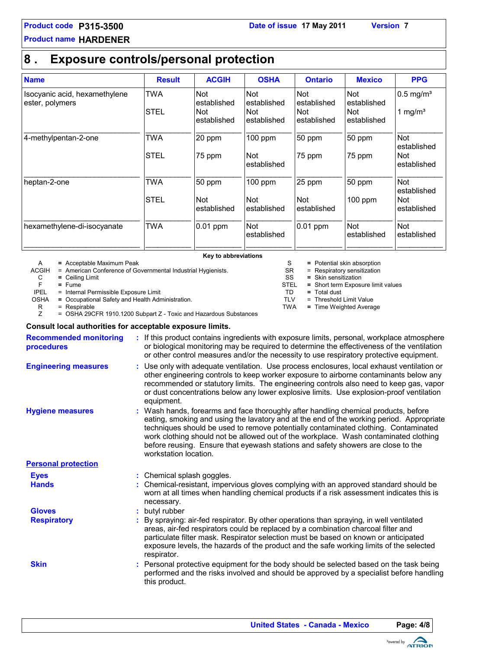### **8 . Exposure controls/personal protection**

| <b>Name</b>                                      | <b>Result</b> | <b>ACGIH</b>              | <b>OSHA</b>               | <b>Ontario</b>            | <b>Mexico</b>             | <b>PPG</b>                |
|--------------------------------------------------|---------------|---------------------------|---------------------------|---------------------------|---------------------------|---------------------------|
| Isocyanic acid, hexamethylene<br>ester, polymers | <b>TWA</b>    | <b>Not</b><br>established | <b>Not</b><br>established | <b>Not</b><br>established | <b>Not</b><br>established | $0.5$ mg/m <sup>3</sup>   |
|                                                  | <b>STEL</b>   | Not<br>established        | Not<br>established        | Not<br>established        | <b>Not</b><br>established | 1 mg/ $m3$                |
| 4-methylpentan-2-one                             | <b>TWA</b>    | 20 ppm                    | $100$ ppm                 | 50 ppm                    | 50 ppm                    | <b>Not</b><br>established |
|                                                  | <b>STEL</b>   | 75 ppm                    | <b>Not</b><br>established | 75 ppm                    | 75 ppm                    | Not<br>established        |
| heptan-2-one                                     | <b>TWA</b>    | 50 ppm                    | $100$ ppm                 | 25 ppm                    | 50 ppm                    | Not<br>established        |
|                                                  | <b>STEL</b>   | <b>Not</b><br>established | <b>Not</b><br>established | Not<br>established        | $100$ ppm                 | Not<br>established        |
| hexamethylene-di-isocyanate                      | <b>TWA</b>    | 0.01 ppm                  | <b>Not</b><br>established | 0.01 ppm                  | Not<br>established        | <b>Not</b><br>established |
|                                                  |               |                           |                           |                           |                           |                           |

**Key to abbreviations**

A **=** Acceptable Maximum Peak

ACGIH = American Conference of Governmental Industrial Hygienists.

C **=** Ceiling Limit

F **=** Fume = Internal Permissible Exposure Limit

OSHA **=** Occupational Safety and Health Administration.

 $R = Respirable$ <br> $Z = OSHA 29C$ = OSHA 29CFR 1910.1200 Subpart Z - Toxic and Hazardous Substances

#### **Consult local authorities for acceptable exposure limits.**

| <b>Recommended monitoring</b><br>procedures | : If this product contains ingredients with exposure limits, personal, workplace atmosphere<br>or biological monitoring may be required to determine the effectiveness of the ventilation<br>or other control measures and/or the necessity to use respiratory protective equipment.                                                                                                                                                                                        |
|---------------------------------------------|-----------------------------------------------------------------------------------------------------------------------------------------------------------------------------------------------------------------------------------------------------------------------------------------------------------------------------------------------------------------------------------------------------------------------------------------------------------------------------|
| <b>Engineering measures</b>                 | : Use only with adequate ventilation. Use process enclosures, local exhaust ventilation or<br>other engineering controls to keep worker exposure to airborne contaminants below any<br>recommended or statutory limits. The engineering controls also need to keep gas, vapor<br>or dust concentrations below any lower explosive limits. Use explosion-proof ventilation<br>equipment.                                                                                     |
| <b>Hygiene measures</b>                     | : Wash hands, forearms and face thoroughly after handling chemical products, before<br>eating, smoking and using the lavatory and at the end of the working period. Appropriate<br>techniques should be used to remove potentially contaminated clothing. Contaminated<br>work clothing should not be allowed out of the workplace. Wash contaminated clothing<br>before reusing. Ensure that eyewash stations and safety showers are close to the<br>workstation location. |
| <b>Personal protection</b>                  |                                                                                                                                                                                                                                                                                                                                                                                                                                                                             |
| <b>Eyes</b>                                 | : Chemical splash goggles.                                                                                                                                                                                                                                                                                                                                                                                                                                                  |
| <b>Hands</b>                                | : Chemical-resistant, impervious gloves complying with an approved standard should be<br>worn at all times when handling chemical products if a risk assessment indicates this is<br>necessary.                                                                                                                                                                                                                                                                             |
| <b>Gloves</b>                               | : butyl rubber                                                                                                                                                                                                                                                                                                                                                                                                                                                              |
| <b>Respiratory</b>                          | : By spraying: air-fed respirator. By other operations than spraying, in well ventilated<br>areas, air-fed respirators could be replaced by a combination charcoal filter and<br>particulate filter mask. Respirator selection must be based on known or anticipated<br>exposure levels, the hazards of the product and the safe working limits of the selected<br>respirator.                                                                                              |
| <b>Skin</b>                                 | : Personal protective equipment for the body should be selected based on the task being<br>performed and the risks involved and should be approved by a specialist before handling<br>this product.                                                                                                                                                                                                                                                                         |

S = Potential skin absorption

- SR = Respiratory sensitization<br>SS = Skin sensitization
	- SS **=** Skin sensitization
- STEL **=** Short term Exposure limit values
- TD **=** Total dust
	- = Threshold Limit Value
- TWA **=** Time Weighted Average

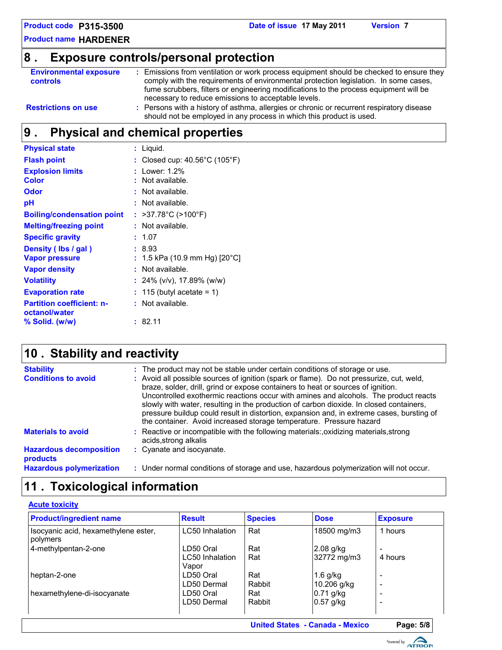## **8 . Exposure controls/personal protection**

| <b>Environmental exposure</b><br><b>controls</b> | Emissions from ventilation or work process equipment should be checked to ensure they<br>comply with the requirements of environmental protection legislation. In some cases,<br>fume scrubbers, filters or engineering modifications to the process equipment will be<br>necessary to reduce emissions to acceptable levels. |
|--------------------------------------------------|-------------------------------------------------------------------------------------------------------------------------------------------------------------------------------------------------------------------------------------------------------------------------------------------------------------------------------|
| <b>Restrictions on use</b>                       | : Persons with a history of asthma, allergies or chronic or recurrent respiratory disease                                                                                                                                                                                                                                     |

should not be employed in any process in which this product is used.

## **Physical and chemical properties 9 .**

| <b>Physical state</b>                             | : Liquid.                                          |
|---------------------------------------------------|----------------------------------------------------|
| <b>Flash point</b>                                | : Closed cup: $40.56^{\circ}$ C (105 $^{\circ}$ F) |
| <b>Explosion limits</b>                           | Lower: 1.2%                                        |
| <b>Color</b>                                      | Not available.                                     |
| <b>Odor</b>                                       | : Not available.                                   |
| рH                                                | : Not available.                                   |
| <b>Boiling/condensation point</b>                 | : >37.78°C (>100°F)                                |
| <b>Melting/freezing point</b>                     | Not available.                                     |
| <b>Specific gravity</b>                           | : 1.07                                             |
| Density (Ibs / gal)                               | :8.93                                              |
| <b>Vapor pressure</b>                             | : 1.5 kPa (10.9 mm Hg) [20°C]                      |
| <b>Vapor density</b>                              | Not available.                                     |
| <b>Volatility</b>                                 | $: 24\%$ (v/v), 17.89% (w/w)                       |
| <b>Evaporation rate</b>                           | $: 115$ (butyl acetate = 1)                        |
| <b>Partition coefficient: n-</b><br>octanol/water | : Not available.                                   |
| % Solid. (w/w)                                    | 82.11                                              |

## **Stability and reactivity 10 .**

| <b>Stability</b><br><b>Conditions to avoid</b> | : The product may not be stable under certain conditions of storage or use.<br>: Avoid all possible sources of ignition (spark or flame). Do not pressurize, cut, weld,<br>braze, solder, drill, grind or expose containers to heat or sources of ignition.<br>Uncontrolled exothermic reactions occur with amines and alcohols. The product reacts<br>slowly with water, resulting in the production of carbon dioxide. In closed containers,<br>pressure buildup could result in distortion, expansion and, in extreme cases, bursting of<br>the container. Avoid increased storage temperature. Pressure hazard |
|------------------------------------------------|--------------------------------------------------------------------------------------------------------------------------------------------------------------------------------------------------------------------------------------------------------------------------------------------------------------------------------------------------------------------------------------------------------------------------------------------------------------------------------------------------------------------------------------------------------------------------------------------------------------------|
| <b>Materials to avoid</b>                      | : Reactive or incompatible with the following materials: oxidizing materials, strong<br>acids, strong alkalis                                                                                                                                                                                                                                                                                                                                                                                                                                                                                                      |
| <b>Hazardous decomposition</b><br>products     | : Cyanate and isocyanate.                                                                                                                                                                                                                                                                                                                                                                                                                                                                                                                                                                                          |
| <b>Hazardous polymerization</b>                | : Under normal conditions of storage and use, hazardous polymerization will not occur.                                                                                                                                                                                                                                                                                                                                                                                                                                                                                                                             |

## **11 . Toxicological information**

| <b>Acute toxicity</b>                            |                        |                |             |                          |  |  |  |
|--------------------------------------------------|------------------------|----------------|-------------|--------------------------|--|--|--|
| <b>Product/ingredient name</b>                   | <b>Result</b>          | <b>Species</b> | <b>Dose</b> | <b>Exposure</b>          |  |  |  |
| Isocyanic acid, hexamethylene ester,<br>polymers | <b>LC50</b> Inhalation | Rat            | 18500 mg/m3 | 1 hours                  |  |  |  |
| 4-methylpentan-2-one                             | LD50 Oral              | Rat            | $2.08$ g/kg | $\overline{\phantom{a}}$ |  |  |  |
|                                                  | LC50 Inhalation        | Rat            | 32772 mg/m3 | 4 hours                  |  |  |  |
|                                                  | Vapor                  |                |             |                          |  |  |  |
| heptan-2-one                                     | LD50 Oral              | Rat            | $1.6$ g/kg  | $\overline{\phantom{0}}$ |  |  |  |
|                                                  | LD50 Dermal            | Rabbit         | 10.206 g/kg | $\overline{\phantom{a}}$ |  |  |  |
| hexamethylene-di-isocyanate                      | LD50 Oral              | Rat            | $0.71$ g/kg | $\overline{\phantom{0}}$ |  |  |  |
|                                                  | LD50 Dermal            | Rabbit         | $0.57$ g/kg | $\overline{\phantom{0}}$ |  |  |  |
|                                                  |                        |                |             |                          |  |  |  |

```
United States - Canada - Mexico Page: 5/8
```
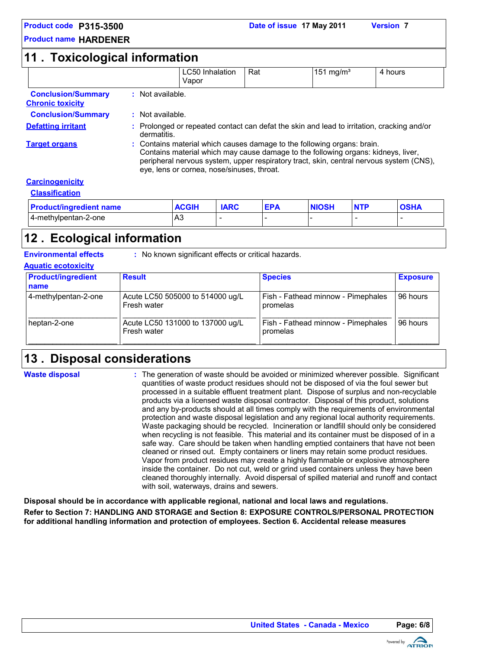#### **11 . Toxicological information**

|                                                      |                  | LC50 Inhalation<br>Vapor                                                                                                                                                                                                                                                                              | Rat         |            | $151 \text{ mg/m}^3$ |            | 4 hours     |  |  |
|------------------------------------------------------|------------------|-------------------------------------------------------------------------------------------------------------------------------------------------------------------------------------------------------------------------------------------------------------------------------------------------------|-------------|------------|----------------------|------------|-------------|--|--|
| <b>Conclusion/Summary</b><br><b>Chronic toxicity</b> | : Not available. |                                                                                                                                                                                                                                                                                                       |             |            |                      |            |             |  |  |
| <b>Conclusion/Summary</b>                            |                  | : Not available.                                                                                                                                                                                                                                                                                      |             |            |                      |            |             |  |  |
| <b>Defatting irritant</b>                            |                  | Prolonged or repeated contact can defat the skin and lead to irritation, cracking and/or<br>dermatitis.                                                                                                                                                                                               |             |            |                      |            |             |  |  |
| <b>Target organs</b>                                 |                  | : Contains material which causes damage to the following organs: brain.<br>Contains material which may cause damage to the following organs: kidneys, liver,<br>peripheral nervous system, upper respiratory tract, skin, central nervous system (CNS),<br>eye, lens or cornea, nose/sinuses, throat. |             |            |                      |            |             |  |  |
| <b>Carcinogenicity</b>                               |                  |                                                                                                                                                                                                                                                                                                       |             |            |                      |            |             |  |  |
| <b>Classification</b>                                |                  |                                                                                                                                                                                                                                                                                                       |             |            |                      |            |             |  |  |
| <b>Product/ingredient name</b>                       |                  | <b>ACGIH</b>                                                                                                                                                                                                                                                                                          | <b>IARC</b> | <b>EPA</b> | <b>NIOSH</b>         | <b>NTP</b> | <b>OSHA</b> |  |  |
| 4-methylpentan-2-one                                 |                  | A3                                                                                                                                                                                                                                                                                                    |             |            |                      |            |             |  |  |

## **Ecological information 12 .**

**Environmental effects** : No known significant effects or critical hazards.

| <b>AQUALIC ECOLOXICITY</b> |                           |                                                 |                                                |                 |  |  |  |  |
|----------------------------|---------------------------|-------------------------------------------------|------------------------------------------------|-----------------|--|--|--|--|
|                            | <b>Product/ingredient</b> | <b>Result</b>                                   | <b>Species</b>                                 | <b>Exposure</b> |  |  |  |  |
|                            | name                      |                                                 |                                                |                 |  |  |  |  |
|                            | 4-methylpentan-2-one      | Acute LC50 505000 to 514000 ug/L<br>Fresh water | Fish - Fathead minnow - Pimephales<br>promelas | 96 hours        |  |  |  |  |
|                            | heptan-2-one              | Acute LC50 131000 to 137000 ug/L<br>Fresh water | Fish - Fathead minnow - Pimephales<br>promelas | 96 hours        |  |  |  |  |

## **Disposal considerations 13 .**

**Waste disposal**

**Aquatic ecotoxicity**

The generation of waste should be avoided or minimized wherever possible. Significant **:** quantities of waste product residues should not be disposed of via the foul sewer but processed in a suitable effluent treatment plant. Dispose of surplus and non-recyclable products via a licensed waste disposal contractor. Disposal of this product, solutions and any by-products should at all times comply with the requirements of environmental protection and waste disposal legislation and any regional local authority requirements. Waste packaging should be recycled. Incineration or landfill should only be considered when recycling is not feasible. This material and its container must be disposed of in a safe way. Care should be taken when handling emptied containers that have not been cleaned or rinsed out. Empty containers or liners may retain some product residues. Vapor from product residues may create a highly flammable or explosive atmosphere inside the container. Do not cut, weld or grind used containers unless they have been cleaned thoroughly internally. Avoid dispersal of spilled material and runoff and contact with soil, waterways, drains and sewers.

**Disposal should be in accordance with applicable regional, national and local laws and regulations.**

**Refer to Section 7: HANDLING AND STORAGE and Section 8: EXPOSURE CONTROLS/PERSONAL PROTECTION for additional handling information and protection of employees. Section 6. Accidental release measures**

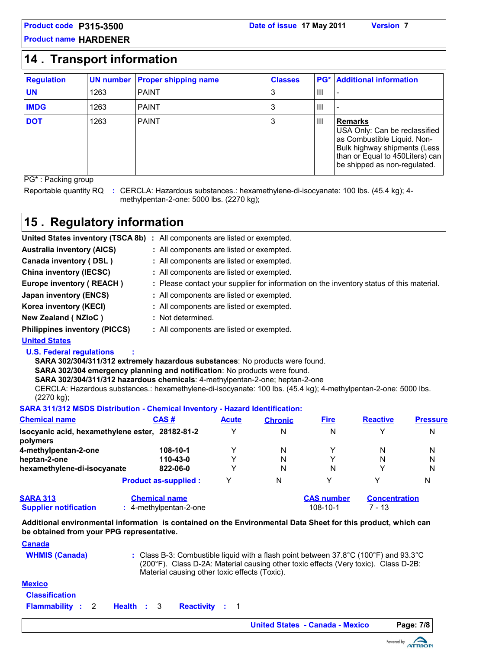#### **14 . Transport information**

| <b>Regulation</b> |      | <b>UN number Proper shipping name</b> | <b>Classes</b> |                | <b>PG*</b> Additional information                                                                                                                                                 |
|-------------------|------|---------------------------------------|----------------|----------------|-----------------------------------------------------------------------------------------------------------------------------------------------------------------------------------|
| <b>UN</b>         | 1263 | <b>PAINT</b>                          | 3              | $\mathbf{III}$ |                                                                                                                                                                                   |
| <b>IMDG</b>       | 1263 | <b>PAINT</b>                          | 3              | Ш              |                                                                                                                                                                                   |
| <b>DOT</b>        | 1263 | <b>PAINT</b>                          | 3              | Ш              | <b>Remarks</b><br>USA Only: Can be reclassified<br>as Combustible Liquid. Non-<br>Bulk highway shipments (Less<br>than or Equal to 450Liters) can<br>be shipped as non-regulated. |

PG\* : Packing group

Reportable quantity RQ : CERCLA: Hazardous substances.: hexamethylene-di-isocyanate: 100 lbs. (45.4 kg); 4methylpentan-2-one: 5000 lbs. (2270 kg);

## **15 . Regulatory information**

|                                      | United States inventory (TSCA 8b) : All components are listed or exempted.               |
|--------------------------------------|------------------------------------------------------------------------------------------|
| <b>Australia inventory (AICS)</b>    | : All components are listed or exempted.                                                 |
| Canada inventory (DSL)               | : All components are listed or exempted.                                                 |
| <b>China inventory (IECSC)</b>       | : All components are listed or exempted.                                                 |
| Europe inventory (REACH)             | : Please contact your supplier for information on the inventory status of this material. |
| Japan inventory (ENCS)               | : All components are listed or exempted.                                                 |
| Korea inventory (KECI)               | : All components are listed or exempted.                                                 |
| New Zealand (NZIoC)                  | : Not determined.                                                                        |
| <b>Philippines inventory (PICCS)</b> | : All components are listed or exempted.                                                 |

#### **United States**

#### **U.S. Federal regulations :**

**SARA 302/304/311/312 extremely hazardous substances**: No products were found.

**SARA 302/304 emergency planning and notification**: No products were found.

**SARA 302/304/311/312 hazardous chemicals**: 4-methylpentan-2-one; heptan-2-one

CERCLA: Hazardous substances.: hexamethylene-di-isocyanate: 100 lbs. (45.4 kg); 4-methylpentan-2-one: 5000 lbs. (2270 kg);

#### **SARA 311/312 MSDS Distribution - Chemical Inventory - Hazard Identification:**

| <b>Chemical name</b>                                        | CAS#     | <b>Acute</b> | <b>Chronic</b> | <b>Fire</b>       | <b>Reactive</b>      | <b>Pressure</b> |
|-------------------------------------------------------------|----------|--------------|----------------|-------------------|----------------------|-----------------|
| Isocyanic acid, hexamethylene ester, 28182-81-2<br>polymers |          | v            | N              | N                 | ∨                    | N               |
| 4-methylpentan-2-one                                        | 108-10-1 |              | N              |                   | N                    | N               |
| heptan-2-one                                                | 110-43-0 |              | N              | v                 | N                    | N               |
| hexamethylene-di-isocyanate                                 | 822-06-0 |              | N              | N                 |                      | N               |
| <b>Product as-supplied:</b>                                 |          | v            | N              | $\checkmark$      | v                    | N               |
| <b>SARA 313</b><br><b>Chemical name</b>                     |          |              |                | <b>CAS number</b> | <b>Concentration</b> |                 |

#### **Supplier notification <b>:** 4-methylpentan-2-one 108-10-1 7 - 13

**Additional environmental information is contained on the Environmental Data Sheet for this product, which can**

**be obtained from your PPG representative.**

**WHMIS (Canada)** Class B-3: Combustible liquid with a flash point between 37.8°C (100°F) and 93.3°C **:** (200°F). Class D-2A: Material causing other toxic effects (Very toxic). Class D-2B: Material causing other toxic effects (Toxic). **Canada Mexico Flammability** : 2 **Health** : 3 **Classification : : :**